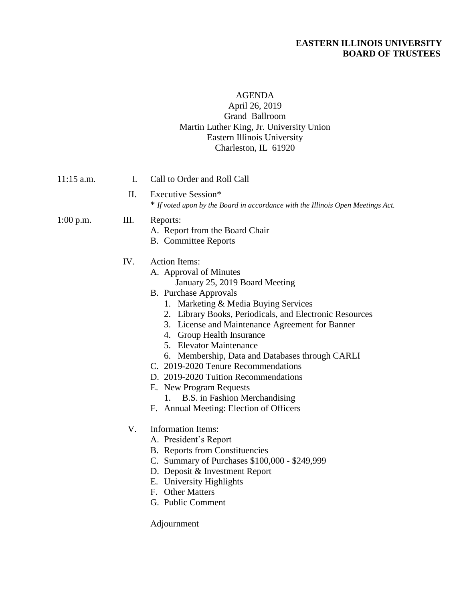### **EASTERN ILLINOIS UNIVERSITY BOARD OF TRUSTEES**

#### AGENDA April 26, 2019 Grand Ballroom Martin Luther King, Jr. University Union Eastern Illinois University Charleston, IL 61920

| $11:15$ a.m. | $\mathbf{I}$ . | Call to Order and Roll Call                                                                                                                                                                                                                                                                                                                                                                                                                                                                                                                                                   |
|--------------|----------------|-------------------------------------------------------------------------------------------------------------------------------------------------------------------------------------------------------------------------------------------------------------------------------------------------------------------------------------------------------------------------------------------------------------------------------------------------------------------------------------------------------------------------------------------------------------------------------|
|              | П.             | Executive Session*<br>* If voted upon by the Board in accordance with the Illinois Open Meetings Act.                                                                                                                                                                                                                                                                                                                                                                                                                                                                         |
| $1:00$ p.m.  | III.           | Reports:<br>A. Report from the Board Chair<br><b>B.</b> Committee Reports                                                                                                                                                                                                                                                                                                                                                                                                                                                                                                     |
|              | IV.            | <b>Action Items:</b><br>A. Approval of Minutes<br>January 25, 2019 Board Meeting<br><b>B.</b> Purchase Approvals<br>1. Marketing & Media Buying Services<br>2. Library Books, Periodicals, and Electronic Resources<br>3. License and Maintenance Agreement for Banner<br>4. Group Health Insurance<br>5. Elevator Maintenance<br>6. Membership, Data and Databases through CARLI<br>C. 2019-2020 Tenure Recommendations<br>D. 2019-2020 Tuition Recommendations<br>E. New Program Requests<br>B.S. in Fashion Merchandising<br>1.<br>F. Annual Meeting: Election of Officers |
|              | V.             | <b>Information Items:</b><br>A. President's Report<br><b>B.</b> Reports from Constituencies<br>C. Summary of Purchases \$100,000 - \$249,999<br>D. Deposit & Investment Report<br>E. University Highlights<br>F. Other Matters<br>G. Public Comment<br>Adjournment                                                                                                                                                                                                                                                                                                            |